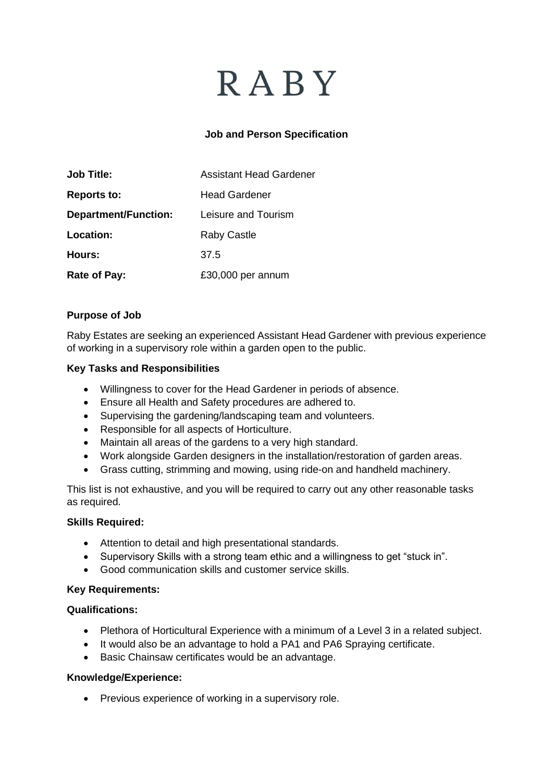# **RABY**

## **Job and Person Specification**

| <b>Job Title:</b>           | <b>Assistant Head Gardener</b> |
|-----------------------------|--------------------------------|
| <b>Reports to:</b>          | <b>Head Gardener</b>           |
| <b>Department/Function:</b> | Leisure and Tourism            |
| Location:                   | <b>Raby Castle</b>             |
| Hours:                      | 37.5                           |
| Rate of Pay:                | £30,000 per annum              |

### **Purpose of Job**

Raby Estates are seeking an experienced Assistant Head Gardener with previous experience of working in a supervisory role within a garden open to the public.

#### **Key Tasks and Responsibilities**

- Willingness to cover for the Head Gardener in periods of absence.
- Ensure all Health and Safety procedures are adhered to.
- Supervising the gardening/landscaping team and volunteers.
- Responsible for all aspects of Horticulture.
- Maintain all areas of the gardens to a very high standard.
- Work alongside Garden designers in the installation/restoration of garden areas.
- Grass cutting, strimming and mowing, using ride-on and handheld machinery.

This list is not exhaustive, and you will be required to carry out any other reasonable tasks as required.

#### **Skills Required:**

- Attention to detail and high presentational standards.
- Supervisory Skills with a strong team ethic and a willingness to get "stuck in".
- Good communication skills and customer service skills.

#### **Key Requirements:**

#### **Qualifications:**

- Plethora of Horticultural Experience with a minimum of a Level 3 in a related subject.
- It would also be an advantage to hold a PA1 and PA6 Spraying certificate.
- Basic Chainsaw certificates would be an advantage.

#### **Knowledge/Experience:**

• Previous experience of working in a supervisory role.